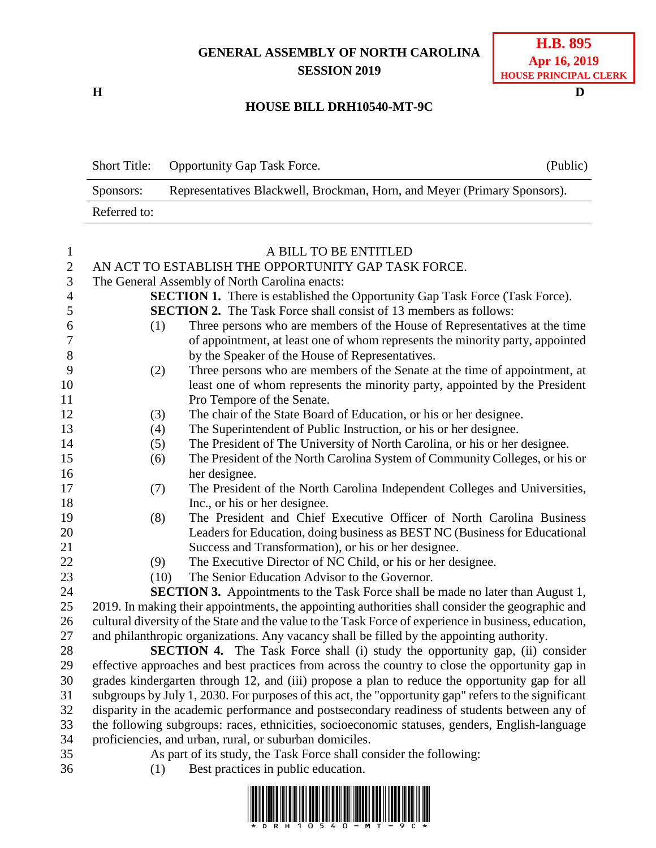## **GENERAL ASSEMBLY OF NORTH CAROLINA SESSION 2019**

## **H D HOUSE BILL DRH10540-MT-9C**

|              | Short Title: Opportunity Gap Task Force.                                 | (Public) |
|--------------|--------------------------------------------------------------------------|----------|
| Sponsors:    | Representatives Blackwell, Brockman, Horn, and Meyer (Primary Sponsors). |          |
| Referred to: |                                                                          |          |

| $\mathbf{1}$     |      | A BILL TO BE ENTITLED                                                                                          |
|------------------|------|----------------------------------------------------------------------------------------------------------------|
| $\sqrt{2}$       |      | AN ACT TO ESTABLISH THE OPPORTUNITY GAP TASK FORCE.                                                            |
| 3                |      | The General Assembly of North Carolina enacts:                                                                 |
| $\overline{4}$   |      | <b>SECTION 1.</b> There is established the Opportunity Gap Task Force (Task Force).                            |
| 5                |      | <b>SECTION 2.</b> The Task Force shall consist of 13 members as follows:                                       |
| 6                | (1)  | Three persons who are members of the House of Representatives at the time                                      |
| $\boldsymbol{7}$ |      | of appointment, at least one of whom represents the minority party, appointed                                  |
| 8                |      | by the Speaker of the House of Representatives.                                                                |
| 9                | (2)  | Three persons who are members of the Senate at the time of appointment, at                                     |
| 10               |      | least one of whom represents the minority party, appointed by the President                                    |
| 11               |      | Pro Tempore of the Senate.                                                                                     |
| 12               | (3)  | The chair of the State Board of Education, or his or her designee.                                             |
| 13               | (4)  | The Superintendent of Public Instruction, or his or her designee.                                              |
| 14               | (5)  | The President of The University of North Carolina, or his or her designee.                                     |
| 15               | (6)  | The President of the North Carolina System of Community Colleges, or his or                                    |
| 16               |      | her designee.                                                                                                  |
| 17               | (7)  | The President of the North Carolina Independent Colleges and Universities,                                     |
| 18               |      | Inc., or his or her designee.                                                                                  |
| 19               | (8)  | The President and Chief Executive Officer of North Carolina Business                                           |
| 20               |      | Leaders for Education, doing business as BEST NC (Business for Educational                                     |
| 21               |      | Success and Transformation), or his or her designee.                                                           |
| 22               | (9)  | The Executive Director of NC Child, or his or her designee.                                                    |
| 23               | (10) | The Senior Education Advisor to the Governor.                                                                  |
| 24               |      | <b>SECTION 3.</b> Appointments to the Task Force shall be made no later than August 1,                         |
| 25               |      | 2019. In making their appointments, the appointing authorities shall consider the geographic and               |
| 26               |      | cultural diversity of the State and the value to the Task Force of experience in business, education,          |
| 27               |      | and philanthropic organizations. Any vacancy shall be filled by the appointing authority.                      |
| 28               |      | <b>SECTION 4.</b> The Task Force shall (i) study the opportunity gap, (ii) consider                            |
| 29               |      | effective approaches and best practices from across the country to close the opportunity gap in                |
| 30               |      | grades kindergarten through 12, and (iii) propose a plan to reduce the opportunity gap for all                 |
| 31               |      | subgroups by July 1, 2030. For purposes of this act, the "opportunity gap" refers to the significant           |
| 32               |      | disparity in the academic performance and postsecondary readiness of students between any of                   |
| 33               |      | the following subgroups: races, ethnicities, socioeconomic statuses, genders, English-language                 |
| 34               |      | proficiencies, and urban, rural, or suburban domiciles.                                                        |
| 35<br>36         |      | As part of its study, the Task Force shall consider the following:<br>$(1)$ Rest practices in public education |
|                  |      |                                                                                                                |

- 
- (1) Best practices in public education.

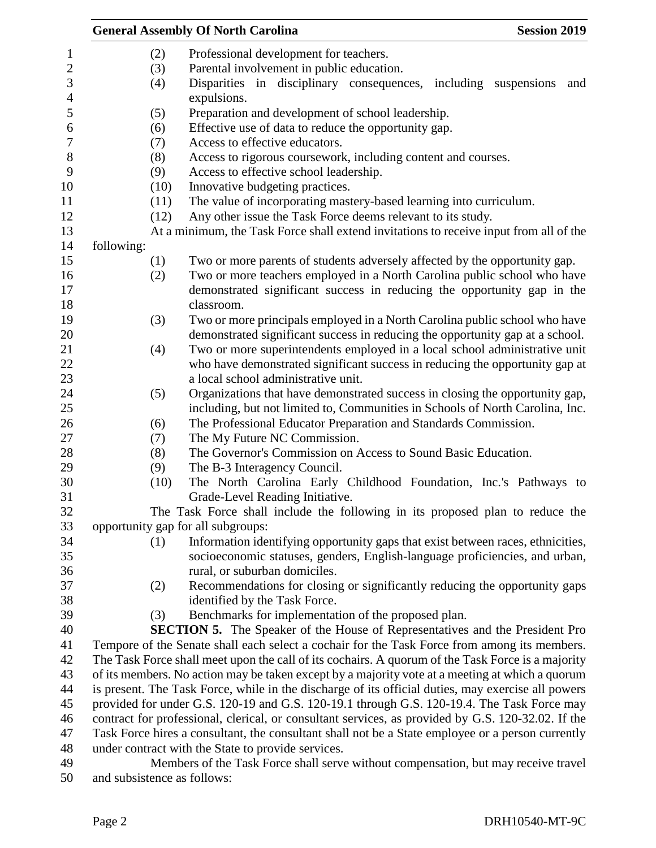|            |      | <b>General Assembly Of North Carolina</b><br><b>Session 2019</b>                                   |
|------------|------|----------------------------------------------------------------------------------------------------|
|            | (2)  | Professional development for teachers.                                                             |
|            | (3)  | Parental involvement in public education.                                                          |
|            | (4)  | Disparities in disciplinary consequences, including suspensions<br>and                             |
|            |      | expulsions.                                                                                        |
|            | (5)  | Preparation and development of school leadership.                                                  |
|            | (6)  | Effective use of data to reduce the opportunity gap.                                               |
|            | (7)  | Access to effective educators.                                                                     |
|            | (8)  | Access to rigorous coursework, including content and courses.                                      |
|            | (9)  | Access to effective school leadership.                                                             |
|            | (10) | Innovative budgeting practices.                                                                    |
|            | (11) | The value of incorporating mastery-based learning into curriculum.                                 |
|            | (12) | Any other issue the Task Force deems relevant to its study.                                        |
|            |      | At a minimum, the Task Force shall extend invitations to receive input from all of the             |
| following: |      |                                                                                                    |
|            | (1)  | Two or more parents of students adversely affected by the opportunity gap.                         |
|            | (2)  | Two or more teachers employed in a North Carolina public school who have                           |
|            |      | demonstrated significant success in reducing the opportunity gap in the                            |
|            |      | classroom.                                                                                         |
|            | (3)  | Two or more principals employed in a North Carolina public school who have                         |
|            |      | demonstrated significant success in reducing the opportunity gap at a school.                      |
|            | (4)  | Two or more superintendents employed in a local school administrative unit                         |
|            |      | who have demonstrated significant success in reducing the opportunity gap at                       |
|            |      | a local school administrative unit.                                                                |
|            | (5)  | Organizations that have demonstrated success in closing the opportunity gap,                       |
|            |      | including, but not limited to, Communities in Schools of North Carolina, Inc.                      |
|            | (6)  | The Professional Educator Preparation and Standards Commission.                                    |
|            | (7)  | The My Future NC Commission.                                                                       |
|            | (8)  | The Governor's Commission on Access to Sound Basic Education.                                      |
|            | (9)  | The B-3 Interagency Council.                                                                       |
|            | (10) | The North Carolina Early Childhood Foundation, Inc.'s Pathways to                                  |
|            |      | Grade-Level Reading Initiative.                                                                    |
|            |      | The Task Force shall include the following in its proposed plan to reduce the                      |
|            |      | opportunity gap for all subgroups:                                                                 |
|            | (1)  | Information identifying opportunity gaps that exist between races, ethnicities,                    |
|            |      | socioeconomic statuses, genders, English-language proficiencies, and urban,                        |
|            |      | rural, or suburban domiciles.                                                                      |
|            | (2)  | Recommendations for closing or significantly reducing the opportunity gaps                         |
|            |      | identified by the Task Force.                                                                      |
|            | (3)  | Benchmarks for implementation of the proposed plan.                                                |
|            |      | <b>SECTION 5.</b> The Speaker of the House of Representatives and the President Pro                |
|            |      | Tempore of the Senate shall each select a cochair for the Task Force from among its members.       |
|            |      | The Task Force shall meet upon the call of its cochairs. A quorum of the Task Force is a majority  |
|            |      | of its members. No action may be taken except by a majority vote at a meeting at which a quorum    |
|            |      | is present. The Task Force, while in the discharge of its official duties, may exercise all powers |
|            |      | provided for under G.S. 120-19 and G.S. 120-19.1 through G.S. 120-19.4. The Task Force may         |
|            |      | contract for professional, clerical, or consultant services, as provided by G.S. 120-32.02. If the |
|            |      | Task Force hires a consultant, the consultant shall not be a State employee or a person currently  |
|            |      | under contract with the State to provide services.                                                 |
|            |      | Members of the Task Force shall serve without compensation, but may receive travel                 |

and subsistence as follows: